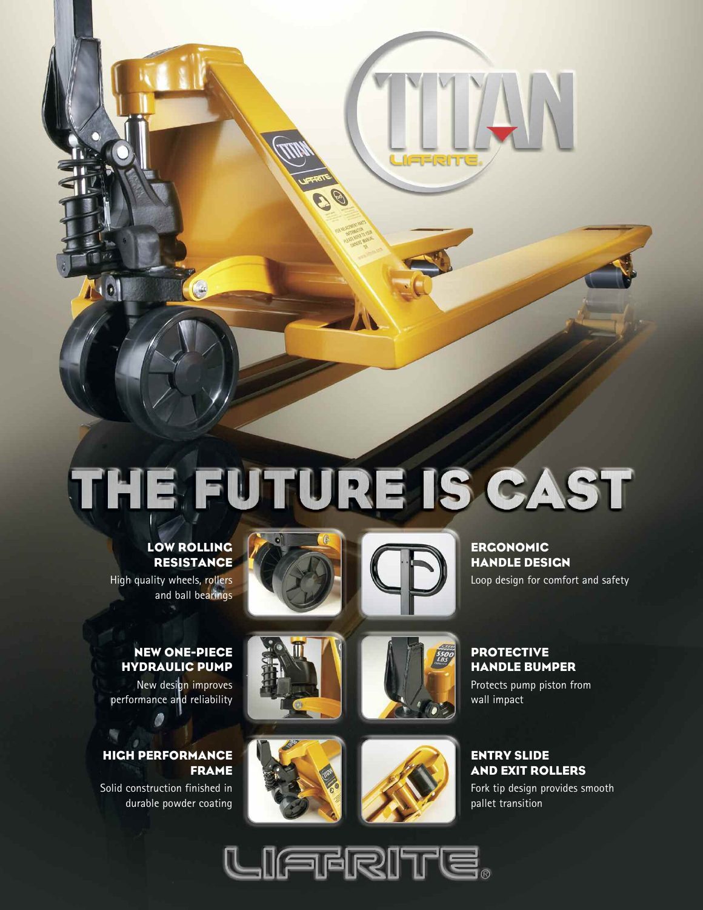# THE FUTURE IS CAST

# **LOW ROLLING RESISTANCE**

 $\begin{pmatrix} 1 & 1 & 1 \end{pmatrix}$ 

High quality wheels, rollers and ball bearings

 $\Lambda$ ol





**ERGONOMIC HANDLE DESIGN** Loop design for comfort and safety

## **NEW ONE-PIECE HYDRAULIC PUMP**

New design improves performance and reliability

## **HIGH PERFORMANCE FRAME**

Solid construction finished in durable powder coating











 $4N$ 

Protects pump piston from wall impact

#### **ENTRY SLIDE AND EXIT ROLLERS**

Fork tip design provides smooth pallet transition